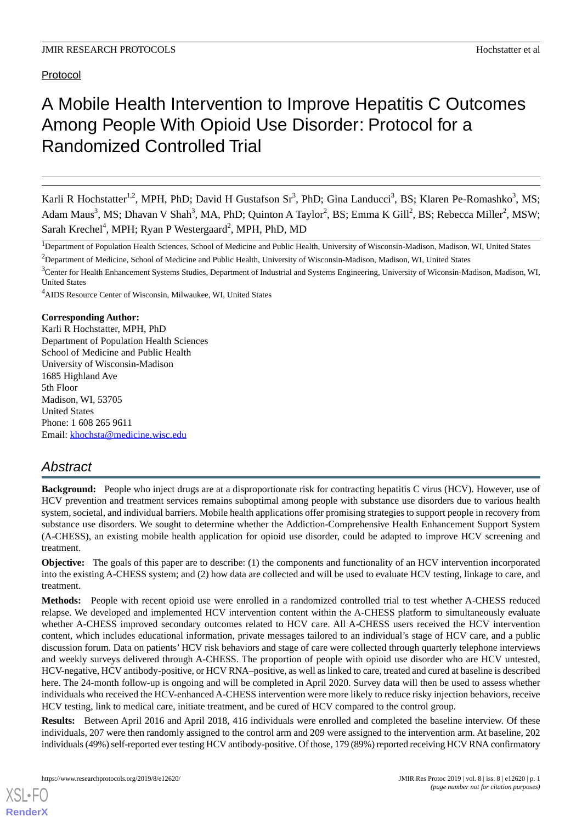Protocol

# A Mobile Health Intervention to Improve Hepatitis C Outcomes Among People With Opioid Use Disorder: Protocol for a Randomized Controlled Trial

Karli R Hochstatter<sup>1,2</sup>, MPH, PhD; David H Gustafson Sr<sup>3</sup>, PhD; Gina Landucci<sup>3</sup>, BS; Klaren Pe-Romashko<sup>3</sup>, MS; Adam Maus<sup>3</sup>, MS; Dhavan V Shah<sup>3</sup>, MA, PhD; Quinton A Taylor<sup>2</sup>, BS; Emma K Gill<sup>2</sup>, BS; Rebecca Miller<sup>2</sup>, MSW; Sarah Krechel<sup>4</sup>, MPH; Ryan P Westergaard<sup>2</sup>, MPH, PhD, MD

<sup>1</sup>Department of Population Health Sciences, School of Medicine and Public Health, University of Wisconsin-Madison, Madison, WI, United States <sup>2</sup>Department of Medicine, School of Medicine and Public Health, University of Wisconsin-Madison, Madison, WI, United States

<sup>4</sup>AIDS Resource Center of Wisconsin, Milwaukee, WI, United States

#### **Corresponding Author:**

Karli R Hochstatter, MPH, PhD Department of Population Health Sciences School of Medicine and Public Health University of Wisconsin-Madison 1685 Highland Ave 5th Floor Madison, WI, 53705 United States Phone: 1 608 265 9611 Email: [khochsta@medicine.wisc.edu](mailto:khochsta@medicine.wisc.edu)

# *Abstract*

**Background:** People who inject drugs are at a disproportionate risk for contracting hepatitis C virus (HCV). However, use of HCV prevention and treatment services remains suboptimal among people with substance use disorders due to various health system, societal, and individual barriers. Mobile health applications offer promising strategies to support people in recovery from substance use disorders. We sought to determine whether the Addiction-Comprehensive Health Enhancement Support System (A-CHESS), an existing mobile health application for opioid use disorder, could be adapted to improve HCV screening and treatment.

**Objective:** The goals of this paper are to describe: (1) the components and functionality of an HCV intervention incorporated into the existing A-CHESS system; and (2) how data are collected and will be used to evaluate HCV testing, linkage to care, and treatment.

**Methods:** People with recent opioid use were enrolled in a randomized controlled trial to test whether A-CHESS reduced relapse. We developed and implemented HCV intervention content within the A-CHESS platform to simultaneously evaluate whether A-CHESS improved secondary outcomes related to HCV care. All A-CHESS users received the HCV intervention content, which includes educational information, private messages tailored to an individual's stage of HCV care, and a public discussion forum. Data on patients' HCV risk behaviors and stage of care were collected through quarterly telephone interviews and weekly surveys delivered through A-CHESS. The proportion of people with opioid use disorder who are HCV untested, HCV-negative, HCV antibody-positive, or HCV RNA–positive, as well as linked to care, treated and cured at baseline is described here. The 24-month follow-up is ongoing and will be completed in April 2020. Survey data will then be used to assess whether individuals who received the HCV-enhanced A-CHESS intervention were more likely to reduce risky injection behaviors, receive HCV testing, link to medical care, initiate treatment, and be cured of HCV compared to the control group.

**Results:** Between April 2016 and April 2018, 416 individuals were enrolled and completed the baseline interview. Of these individuals, 207 were then randomly assigned to the control arm and 209 were assigned to the intervention arm. At baseline, 202 individuals (49%) self-reported ever testing HCV antibody-positive. Of those, 179 (89%) reported receiving HCV RNA confirmatory

<sup>&</sup>lt;sup>3</sup>Center for Health Enhancement Systems Studies, Department of Industrial and Systems Engineering, University of Wiconsin-Madison, Madison, WI, United States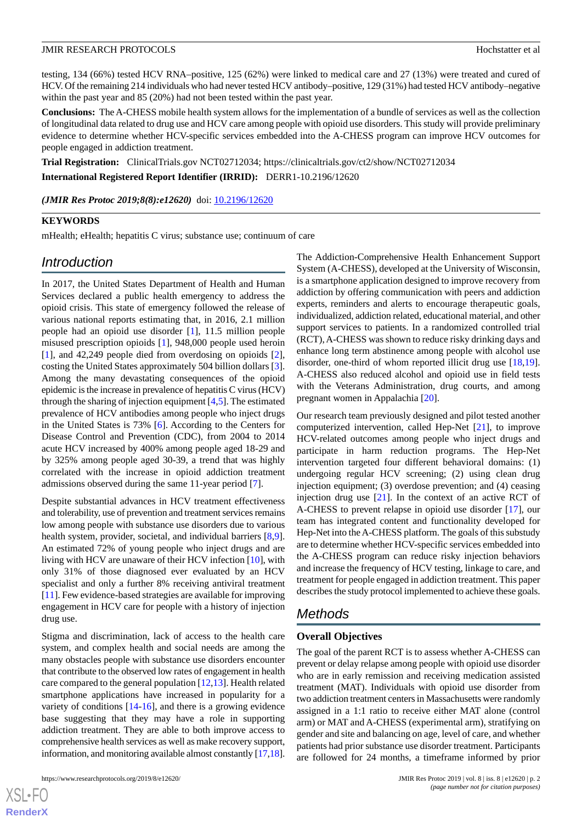testing, 134 (66%) tested HCV RNA–positive, 125 (62%) were linked to medical care and 27 (13%) were treated and cured of HCV. Of the remaining 214 individuals who had never tested HCV antibody–positive, 129 (31%) had tested HCV antibody–negative within the past year and 85 (20%) had not been tested within the past year.

**Conclusions:** The A-CHESS mobile health system allows for the implementation of a bundle of services as well as the collection of longitudinal data related to drug use and HCV care among people with opioid use disorders. This study will provide preliminary evidence to determine whether HCV-specific services embedded into the A-CHESS program can improve HCV outcomes for people engaged in addiction treatment.

**Trial Registration:** ClinicalTrials.gov NCT02712034; https://clinicaltrials.gov/ct2/show/NCT02712034 **International Registered Report Identifier (IRRID):** DERR1-10.2196/12620

(JMIR Res Protoc 2019;8(8):e12620) doi: [10.2196/12620](http://dx.doi.org/10.2196/12620)

#### **KEYWORDS**

mHealth; eHealth; hepatitis C virus; substance use; continuum of care

# *Introduction*

In 2017, the United States Department of Health and Human Services declared a public health emergency to address the opioid crisis. This state of emergency followed the release of various national reports estimating that, in 2016, 2.1 million people had an opioid use disorder [\[1\]](#page-7-0), 11.5 million people misused prescription opioids [\[1](#page-7-0)], 948,000 people used heroin [[1\]](#page-7-0), and 42,249 people died from overdosing on opioids [[2\]](#page-8-0), costing the United States approximately 504 billion dollars [[3\]](#page-8-1). Among the many devastating consequences of the opioid epidemic is the increase in prevalence of hepatitis C virus (HCV) through the sharing of injection equipment  $[4,5]$  $[4,5]$  $[4,5]$  $[4,5]$ . The estimated prevalence of HCV antibodies among people who inject drugs in the United States is 73% [\[6](#page-8-4)]. According to the Centers for Disease Control and Prevention (CDC), from 2004 to 2014 acute HCV increased by 400% among people aged 18-29 and by 325% among people aged 30-39, a trend that was highly correlated with the increase in opioid addiction treatment admissions observed during the same 11-year period [[7\]](#page-8-5).

Despite substantial advances in HCV treatment effectiveness and tolerability, use of prevention and treatment services remains low among people with substance use disorders due to various health system, provider, societal, and individual barriers [\[8](#page-8-6),[9\]](#page-8-7). An estimated 72% of young people who inject drugs and are living with HCV are unaware of their HCV infection [[10\]](#page-8-8), with only 31% of those diagnosed ever evaluated by an HCV specialist and only a further 8% receiving antiviral treatment [[11\]](#page-8-9). Few evidence-based strategies are available for improving engagement in HCV care for people with a history of injection drug use.

Stigma and discrimination, lack of access to the health care system, and complex health and social needs are among the many obstacles people with substance use disorders encounter that contribute to the observed low rates of engagement in health care compared to the general population [[12,](#page-8-10)[13](#page-8-11)]. Health related smartphone applications have increased in popularity for a variety of conditions [[14-](#page-8-12)[16](#page-8-13)], and there is a growing evidence base suggesting that they may have a role in supporting addiction treatment. They are able to both improve access to comprehensive health services as well as make recovery support, information, and monitoring available almost constantly [\[17,](#page-8-14)[18\]](#page-8-15).

 $XS$ -FO **[RenderX](http://www.renderx.com/)** The Addiction-Comprehensive Health Enhancement Support System (A-CHESS), developed at the University of Wisconsin, is a smartphone application designed to improve recovery from addiction by offering communication with peers and addiction experts, reminders and alerts to encourage therapeutic goals, individualized, addiction related, educational material, and other support services to patients. In a randomized controlled trial (RCT), A-CHESS was shown to reduce risky drinking days and enhance long term abstinence among people with alcohol use disorder, one-third of whom reported illicit drug use [\[18](#page-8-15),[19\]](#page-8-16). A-CHESS also reduced alcohol and opioid use in field tests with the Veterans Administration, drug courts, and among pregnant women in Appalachia [[20\]](#page-8-17).

Our research team previously designed and pilot tested another computerized intervention, called Hep-Net [[21\]](#page-8-18), to improve HCV-related outcomes among people who inject drugs and participate in harm reduction programs. The Hep-Net intervention targeted four different behavioral domains: (1) undergoing regular HCV screening; (2) using clean drug injection equipment; (3) overdose prevention; and (4) ceasing injection drug use [[21\]](#page-8-18). In the context of an active RCT of A-CHESS to prevent relapse in opioid use disorder [\[17](#page-8-14)], our team has integrated content and functionality developed for Hep-Net into the A-CHESS platform. The goals of this substudy are to determine whether HCV-specific services embedded into the A-CHESS program can reduce risky injection behaviors and increase the frequency of HCV testing, linkage to care, and treatment for people engaged in addiction treatment. This paper describes the study protocol implemented to achieve these goals.

# *Methods*

#### **Overall Objectives**

The goal of the parent RCT is to assess whether A-CHESS can prevent or delay relapse among people with opioid use disorder who are in early remission and receiving medication assisted treatment (MAT). Individuals with opioid use disorder from two addiction treatment centers in Massachusetts were randomly assigned in a 1:1 ratio to receive either MAT alone (control arm) or MAT and A-CHESS (experimental arm), stratifying on gender and site and balancing on age, level of care, and whether patients had prior substance use disorder treatment. Participants are followed for 24 months, a timeframe informed by prior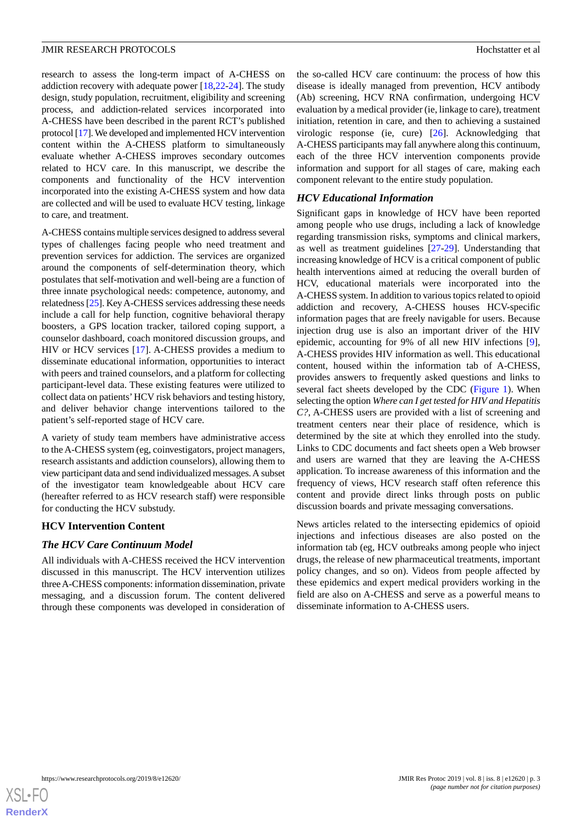research to assess the long-term impact of A-CHESS on addiction recovery with adequate power [\[18](#page-8-15)[,22](#page-8-19)-[24\]](#page-9-0). The study design, study population, recruitment, eligibility and screening process, and addiction-related services incorporated into A-CHESS have been described in the parent RCT's published protocol [\[17\]](#page-8-14). We developed and implemented HCV intervention content within the A-CHESS platform to simultaneously evaluate whether A-CHESS improves secondary outcomes related to HCV care. In this manuscript, we describe the components and functionality of the HCV intervention incorporated into the existing A-CHESS system and how data are collected and will be used to evaluate HCV testing, linkage to care, and treatment.

A-CHESS contains multiple services designed to address several types of challenges facing people who need treatment and prevention services for addiction. The services are organized around the components of self-determination theory, which postulates that self-motivation and well-being are a function of three innate psychological needs: competence, autonomy, and relatedness [\[25](#page-9-1)]. Key A-CHESS services addressing these needs include a call for help function, cognitive behavioral therapy boosters, a GPS location tracker, tailored coping support, a counselor dashboard, coach monitored discussion groups, and HIV or HCV services [[17\]](#page-8-14). A-CHESS provides a medium to disseminate educational information, opportunities to interact with peers and trained counselors, and a platform for collecting participant-level data. These existing features were utilized to collect data on patients' HCV risk behaviors and testing history, and deliver behavior change interventions tailored to the patient's self-reported stage of HCV care.

A variety of study team members have administrative access to the A-CHESS system (eg, coinvestigators, project managers, research assistants and addiction counselors), allowing them to view participant data and send individualized messages. A subset of the investigator team knowledgeable about HCV care (hereafter referred to as HCV research staff) were responsible for conducting the HCV substudy.

#### **HCV Intervention Content**

#### *The HCV Care Continuum Model*

All individuals with A-CHESS received the HCV intervention discussed in this manuscript. The HCV intervention utilizes three A-CHESS components: information dissemination, private messaging, and a discussion forum. The content delivered through these components was developed in consideration of the so-called HCV care continuum: the process of how this disease is ideally managed from prevention, HCV antibody (Ab) screening, HCV RNA confirmation, undergoing HCV evaluation by a medical provider (ie, linkage to care), treatment initiation, retention in care, and then to achieving a sustained virologic response (ie, cure) [\[26](#page-9-2)]. Acknowledging that A-CHESS participants may fall anywhere along this continuum, each of the three HCV intervention components provide information and support for all stages of care, making each component relevant to the entire study population.

#### *HCV Educational Information*

Significant gaps in knowledge of HCV have been reported among people who use drugs, including a lack of knowledge regarding transmission risks, symptoms and clinical markers, as well as treatment guidelines [\[27](#page-9-3)[-29](#page-9-4)]. Understanding that increasing knowledge of HCV is a critical component of public health interventions aimed at reducing the overall burden of HCV, educational materials were incorporated into the A-CHESS system. In addition to various topics related to opioid addiction and recovery, A-CHESS houses HCV-specific information pages that are freely navigable for users. Because injection drug use is also an important driver of the HIV epidemic, accounting for 9% of all new HIV infections [[9\]](#page-8-7), A-CHESS provides HIV information as well. This educational content, housed within the information tab of A-CHESS, provides answers to frequently asked questions and links to several fact sheets developed by the CDC ([Figure 1\)](#page-3-0). When selecting the option *Where can I get tested for HIV and Hepatitis C?*, A-CHESS users are provided with a list of screening and treatment centers near their place of residence, which is determined by the site at which they enrolled into the study. Links to CDC documents and fact sheets open a Web browser and users are warned that they are leaving the A-CHESS application. To increase awareness of this information and the frequency of views, HCV research staff often reference this content and provide direct links through posts on public discussion boards and private messaging conversations.

News articles related to the intersecting epidemics of opioid injections and infectious diseases are also posted on the information tab (eg, HCV outbreaks among people who inject drugs, the release of new pharmaceutical treatments, important policy changes, and so on). Videos from people affected by these epidemics and expert medical providers working in the field are also on A-CHESS and serve as a powerful means to disseminate information to A-CHESS users.

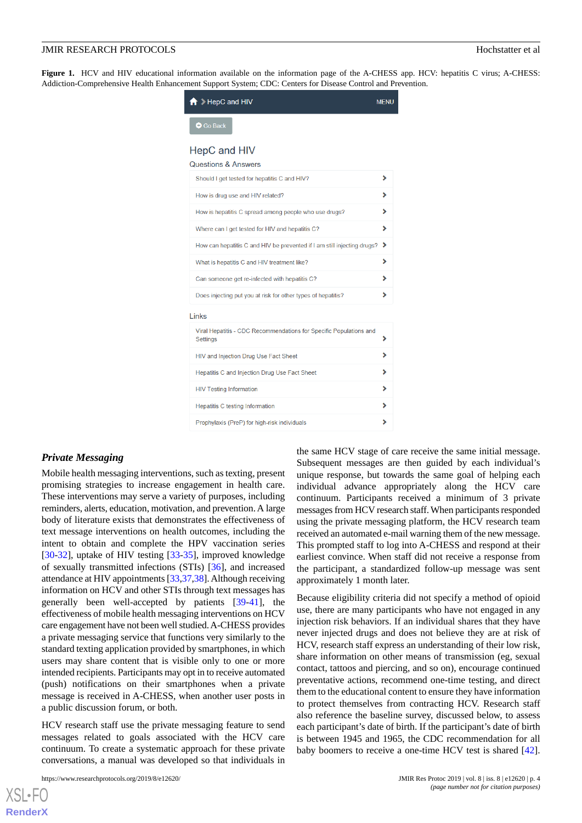<span id="page-3-0"></span>Figure 1. HCV and HIV educational information available on the information page of the A-CHESS app. HCV: hepatitis C virus; A-CHESS: Addiction-Comprehensive Health Enhancement Support System; CDC: Centers for Disease Control and Prevention.

| $\bigcap$ > HepC and HIV                                                       | <b>MENU</b> |
|--------------------------------------------------------------------------------|-------------|
| Go Back                                                                        |             |
| <b>HepC and HIV</b><br><b>Questions &amp; Answers</b>                          |             |
| Should I get tested for hepatitis C and HIV?                                   | ⋟           |
| How is drug use and HIV related?                                               | ⋟           |
| How is hepatitis C spread among people who use drugs?                          | ⋟           |
| Where can I get tested for HIV and hepatitis C?                                | ⋟           |
| How can hepatitis C and HIV be prevented if I am still injecting drugs?        | ⋗           |
| What is hepatitis C and HIV treatment like?                                    | ⋟           |
| Can someone get re-infected with hepatitis C?                                  |             |
| Does injecting put you at risk for other types of hepatitis?                   | ⋟           |
| Links                                                                          |             |
| Viral Hepatitis - CDC Recommendations for Specific Populations and<br>Settings |             |
| HIV and Injection Drug Use Fact Sheet                                          |             |
| Hepatitis C and Injection Drug Use Fact Sheet                                  |             |
| <b>HIV Testing Information</b>                                                 | ⋟           |
| <b>Hepatitis C testing Information</b>                                         |             |
| Prophylaxis (PreP) for high-risk individuals                                   | ⋟           |

#### *Private Messaging*

Mobile health messaging interventions, such as texting, present promising strategies to increase engagement in health care. These interventions may serve a variety of purposes, including reminders, alerts, education, motivation, and prevention. A large body of literature exists that demonstrates the effectiveness of text message interventions on health outcomes, including the intent to obtain and complete the HPV vaccination series [[30](#page-9-5)[-32](#page-9-6)], uptake of HIV testing [\[33](#page-9-7)-[35\]](#page-9-8), improved knowledge of sexually transmitted infections (STIs) [\[36](#page-9-9)], and increased attendance at HIV appointments [[33](#page-9-7)[,37](#page-9-10),[38\]](#page-9-11). Although receiving information on HCV and other STIs through text messages has generally been well-accepted by patients [[39-](#page-9-12)[41\]](#page-9-13), the effectiveness of mobile health messaging interventions on HCV care engagement have not been well studied. A-CHESS provides a private messaging service that functions very similarly to the standard texting application provided by smartphones, in which users may share content that is visible only to one or more intended recipients. Participants may opt in to receive automated (push) notifications on their smartphones when a private message is received in A-CHESS, when another user posts in a public discussion forum, or both.

HCV research staff use the private messaging feature to send messages related to goals associated with the HCV care continuum. To create a systematic approach for these private conversations, a manual was developed so that individuals in

the same HCV stage of care receive the same initial message. Subsequent messages are then guided by each individual's unique response, but towards the same goal of helping each individual advance appropriately along the HCV care continuum. Participants received a minimum of 3 private messages from HCV research staff. When participants responded using the private messaging platform, the HCV research team received an automated e-mail warning them of the new message. This prompted staff to log into A-CHESS and respond at their earliest convince. When staff did not receive a response from the participant, a standardized follow-up message was sent approximately 1 month later.

Because eligibility criteria did not specify a method of opioid use, there are many participants who have not engaged in any injection risk behaviors. If an individual shares that they have never injected drugs and does not believe they are at risk of HCV, research staff express an understanding of their low risk, share information on other means of transmission (eg, sexual contact, tattoos and piercing, and so on), encourage continued preventative actions, recommend one-time testing, and direct them to the educational content to ensure they have information to protect themselves from contracting HCV. Research staff also reference the baseline survey, discussed below, to assess each participant's date of birth. If the participant's date of birth is between 1945 and 1965, the CDC recommendation for all baby boomers to receive a one-time HCV test is shared [[42\]](#page-9-14).

```
XSL•FO
RenderX
```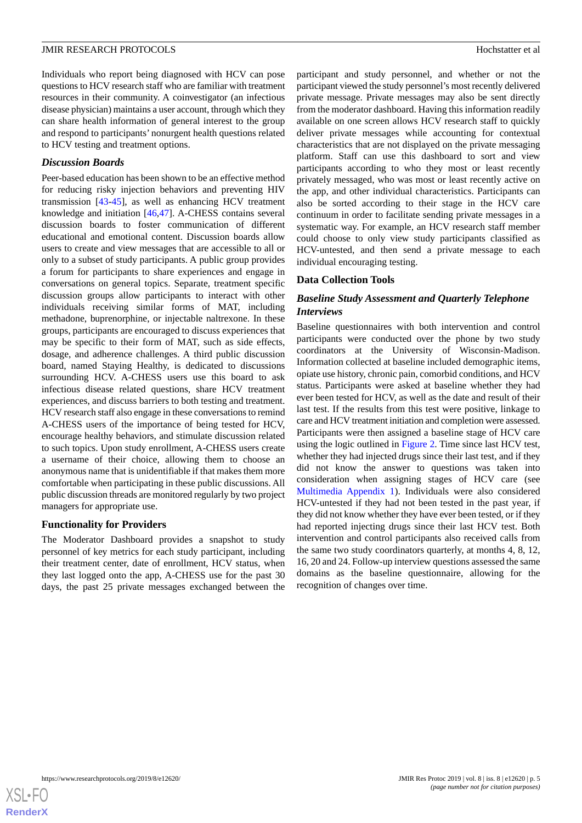Individuals who report being diagnosed with HCV can pose questions to HCV research staff who are familiar with treatment resources in their community. A coinvestigator (an infectious disease physician) maintains a user account, through which they can share health information of general interest to the group and respond to participants' nonurgent health questions related to HCV testing and treatment options.

#### *Discussion Boards*

Peer-based education has been shown to be an effective method for reducing risky injection behaviors and preventing HIV transmission [\[43](#page-9-15)[-45](#page-10-0)], as well as enhancing HCV treatment knowledge and initiation [\[46](#page-10-1),[47\]](#page-10-2). A-CHESS contains several discussion boards to foster communication of different educational and emotional content. Discussion boards allow users to create and view messages that are accessible to all or only to a subset of study participants. A public group provides a forum for participants to share experiences and engage in conversations on general topics. Separate, treatment specific discussion groups allow participants to interact with other individuals receiving similar forms of MAT, including methadone, buprenorphine, or injectable naltrexone. In these groups, participants are encouraged to discuss experiences that may be specific to their form of MAT, such as side effects, dosage, and adherence challenges. A third public discussion board, named Staying Healthy, is dedicated to discussions surrounding HCV. A-CHESS users use this board to ask infectious disease related questions, share HCV treatment experiences, and discuss barriers to both testing and treatment. HCV research staff also engage in these conversations to remind A-CHESS users of the importance of being tested for HCV, encourage healthy behaviors, and stimulate discussion related to such topics. Upon study enrollment, A-CHESS users create a username of their choice, allowing them to choose an anonymous name that is unidentifiable if that makes them more comfortable when participating in these public discussions. All public discussion threads are monitored regularly by two project managers for appropriate use.

#### **Functionality for Providers**

The Moderator Dashboard provides a snapshot to study personnel of key metrics for each study participant, including their treatment center, date of enrollment, HCV status, when they last logged onto the app, A-CHESS use for the past 30 days, the past 25 private messages exchanged between the

participant and study personnel, and whether or not the participant viewed the study personnel's most recently delivered private message. Private messages may also be sent directly from the moderator dashboard. Having this information readily available on one screen allows HCV research staff to quickly deliver private messages while accounting for contextual characteristics that are not displayed on the private messaging platform. Staff can use this dashboard to sort and view participants according to who they most or least recently privately messaged, who was most or least recently active on the app, and other individual characteristics. Participants can also be sorted according to their stage in the HCV care continuum in order to facilitate sending private messages in a systematic way. For example, an HCV research staff member could choose to only view study participants classified as HCV-untested, and then send a private message to each individual encouraging testing.

#### **Data Collection Tools**

### *Baseline Study Assessment and Quarterly Telephone Interviews*

Baseline questionnaires with both intervention and control participants were conducted over the phone by two study coordinators at the University of Wisconsin-Madison. Information collected at baseline included demographic items, opiate use history, chronic pain, comorbid conditions, and HCV status. Participants were asked at baseline whether they had ever been tested for HCV, as well as the date and result of their last test. If the results from this test were positive, linkage to care and HCV treatment initiation and completion were assessed. Participants were then assigned a baseline stage of HCV care using the logic outlined in [Figure 2.](#page-5-0) Time since last HCV test, whether they had injected drugs since their last test, and if they did not know the answer to questions was taken into consideration when assigning stages of HCV care (see [Multimedia Appendix 1\)](#page-7-1). Individuals were also considered HCV-untested if they had not been tested in the past year, if they did not know whether they have ever been tested, or if they had reported injecting drugs since their last HCV test. Both intervention and control participants also received calls from the same two study coordinators quarterly, at months 4, 8, 12, 16, 20 and 24. Follow-up interview questions assessed the same domains as the baseline questionnaire, allowing for the recognition of changes over time.

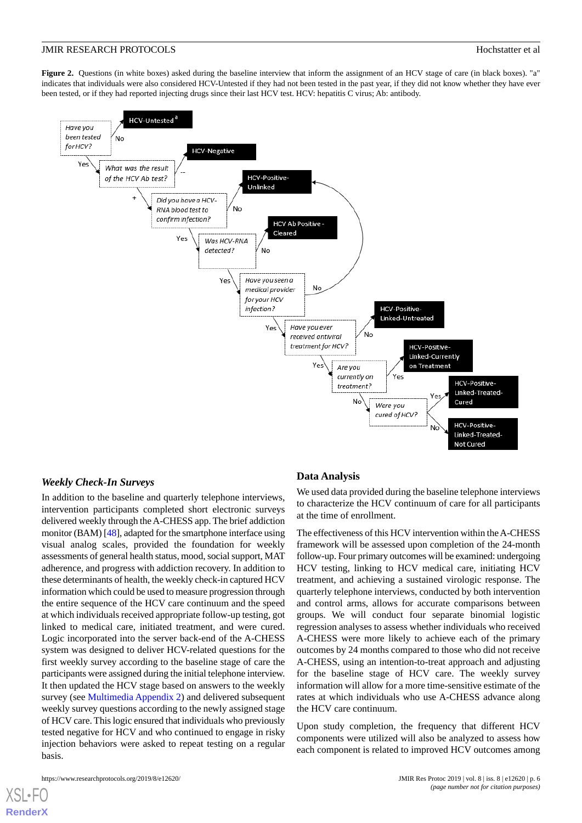<span id="page-5-0"></span>**Figure 2.** Questions (in white boxes) asked during the baseline interview that inform the assignment of an HCV stage of care (in black boxes). "a" indicates that individuals were also considered HCV-Untested if they had not been tested in the past year, if they did not know whether they have ever been tested, or if they had reported injecting drugs since their last HCV test. HCV: hepatitis C virus; Ab: antibody.



#### *Weekly Check-In Surveys*

In addition to the baseline and quarterly telephone interviews, intervention participants completed short electronic surveys delivered weekly through the A-CHESS app. The brief addiction monitor (BAM) [\[48](#page-10-3)], adapted for the smartphone interface using visual analog scales, provided the foundation for weekly assessments of general health status, mood, social support, MAT adherence, and progress with addiction recovery. In addition to these determinants of health, the weekly check-in captured HCV information which could be used to measure progression through the entire sequence of the HCV care continuum and the speed at which individuals received appropriate follow-up testing, got linked to medical care, initiated treatment, and were cured. Logic incorporated into the server back-end of the A-CHESS system was designed to deliver HCV-related questions for the first weekly survey according to the baseline stage of care the participants were assigned during the initial telephone interview. It then updated the HCV stage based on answers to the weekly survey (see [Multimedia Appendix 2](#page-7-2)) and delivered subsequent weekly survey questions according to the newly assigned stage of HCV care. This logic ensured that individuals who previously tested negative for HCV and who continued to engage in risky injection behaviors were asked to repeat testing on a regular basis.

#### **Data Analysis**

We used data provided during the baseline telephone interviews to characterize the HCV continuum of care for all participants at the time of enrollment.

The effectiveness of this HCV intervention within the A-CHESS framework will be assessed upon completion of the 24-month follow-up. Four primary outcomes will be examined: undergoing HCV testing, linking to HCV medical care, initiating HCV treatment, and achieving a sustained virologic response. The quarterly telephone interviews, conducted by both intervention and control arms, allows for accurate comparisons between groups. We will conduct four separate binomial logistic regression analyses to assess whether individuals who received A-CHESS were more likely to achieve each of the primary outcomes by 24 months compared to those who did not receive A-CHESS, using an intention-to-treat approach and adjusting for the baseline stage of HCV care. The weekly survey information will allow for a more time-sensitive estimate of the rates at which individuals who use A-CHESS advance along the HCV care continuum.

Upon study completion, the frequency that different HCV components were utilized will also be analyzed to assess how each component is related to improved HCV outcomes among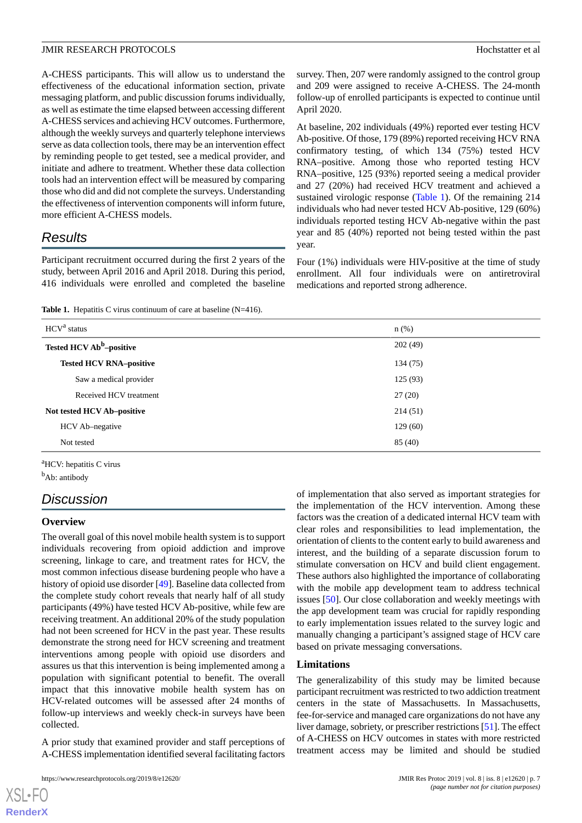A-CHESS participants. This will allow us to understand the effectiveness of the educational information section, private messaging platform, and public discussion forums individually, as well as estimate the time elapsed between accessing different A-CHESS services and achieving HCV outcomes. Furthermore, although the weekly surveys and quarterly telephone interviews serve as data collection tools, there may be an intervention effect by reminding people to get tested, see a medical provider, and initiate and adhere to treatment. Whether these data collection tools had an intervention effect will be measured by comparing those who did and did not complete the surveys. Understanding the effectiveness of intervention components will inform future, more efficient A-CHESS models.

# *Results*

<span id="page-6-0"></span>Participant recruitment occurred during the first 2 years of the study, between April 2016 and April 2018. During this period, 416 individuals were enrolled and completed the baseline

Table 1. Hepatitis C virus continuum of care at baseline (N=416).

survey. Then, 207 were randomly assigned to the control group and 209 were assigned to receive A-CHESS. The 24-month follow-up of enrolled participants is expected to continue until April 2020.

At baseline, 202 individuals (49%) reported ever testing HCV Ab-positive. Of those, 179 (89%) reported receiving HCV RNA confirmatory testing, of which 134 (75%) tested HCV RNA–positive. Among those who reported testing HCV RNA–positive, 125 (93%) reported seeing a medical provider and 27 (20%) had received HCV treatment and achieved a sustained virologic response [\(Table 1](#page-6-0)). Of the remaining 214 individuals who had never tested HCV Ab-positive, 129 (60%) individuals reported testing HCV Ab-negative within the past year and 85 (40%) reported not being tested within the past year.

Four (1%) individuals were HIV-positive at the time of study enrollment. All four individuals were on antiretroviral medications and reported strong adherence.

| HCV <sup>a</sup> status              | $n$ (%)  |
|--------------------------------------|----------|
| Tested HCV Ab <sup>b</sup> -positive | 202(49)  |
| <b>Tested HCV RNA-positive</b>       | 134 (75) |
| Saw a medical provider               | 125(93)  |
| Received HCV treatment               | 27(20)   |
| Not tested HCV Ab-positive           | 214(51)  |
| HCV Ab-negative                      | 129(60)  |
| Not tested                           | 85(40)   |

<sup>a</sup>HCV: hepatitis C virus <sup>b</sup>Ab: antibody

# *Discussion*

#### **Overview**

The overall goal of this novel mobile health system is to support individuals recovering from opioid addiction and improve screening, linkage to care, and treatment rates for HCV, the most common infectious disease burdening people who have a history of opioid use disorder [\[49](#page-10-4)]. Baseline data collected from the complete study cohort reveals that nearly half of all study participants (49%) have tested HCV Ab-positive, while few are receiving treatment. An additional 20% of the study population had not been screened for HCV in the past year. These results demonstrate the strong need for HCV screening and treatment interventions among people with opioid use disorders and assures us that this intervention is being implemented among a population with significant potential to benefit. The overall impact that this innovative mobile health system has on HCV-related outcomes will be assessed after 24 months of follow-up interviews and weekly check-in surveys have been collected.

A prior study that examined provider and staff perceptions of A-CHESS implementation identified several facilitating factors

[XSL](http://www.w3.org/Style/XSL)•FO **[RenderX](http://www.renderx.com/)**

of implementation that also served as important strategies for the implementation of the HCV intervention. Among these factors was the creation of a dedicated internal HCV team with clear roles and responsibilities to lead implementation, the orientation of clients to the content early to build awareness and interest, and the building of a separate discussion forum to stimulate conversation on HCV and build client engagement. These authors also highlighted the importance of collaborating with the mobile app development team to address technical issues [\[50](#page-10-5)]. Our close collaboration and weekly meetings with the app development team was crucial for rapidly responding to early implementation issues related to the survey logic and manually changing a participant's assigned stage of HCV care based on private messaging conversations.

#### **Limitations**

The generalizability of this study may be limited because participant recruitment was restricted to two addiction treatment centers in the state of Massachusetts. In Massachusetts, fee-for-service and managed care organizations do not have any liver damage, sobriety, or prescriber restrictions [[51\]](#page-10-6). The effect of A-CHESS on HCV outcomes in states with more restricted treatment access may be limited and should be studied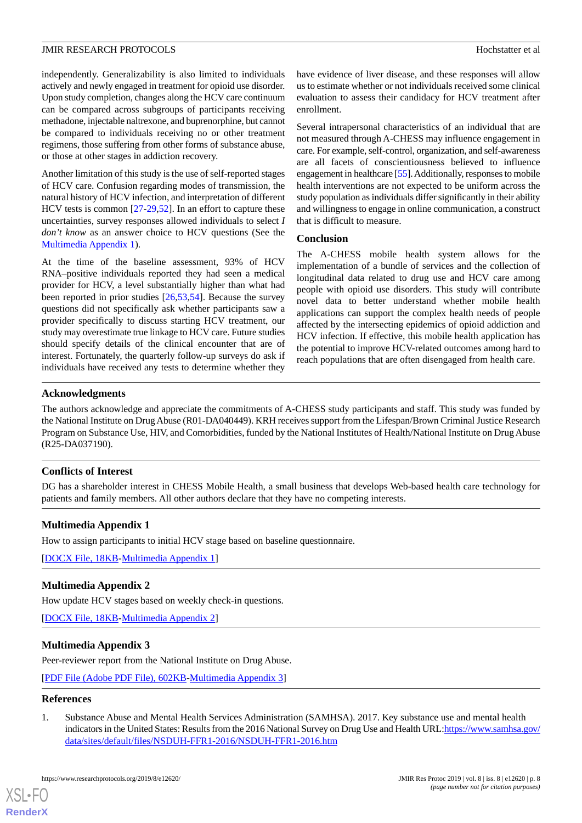independently. Generalizability is also limited to individuals actively and newly engaged in treatment for opioid use disorder. Upon study completion, changes along the HCV care continuum can be compared across subgroups of participants receiving methadone, injectable naltrexone, and buprenorphine, but cannot be compared to individuals receiving no or other treatment regimens, those suffering from other forms of substance abuse, or those at other stages in addiction recovery.

Another limitation of this study is the use of self-reported stages of HCV care. Confusion regarding modes of transmission, the natural history of HCV infection, and interpretation of different HCV tests is common [[27](#page-9-3)[-29](#page-9-4),[52\]](#page-10-7). In an effort to capture these uncertainties, survey responses allowed individuals to select *I don't know* as an answer choice to HCV questions (See the [Multimedia Appendix 1](#page-7-1)).

At the time of the baseline assessment, 93% of HCV RNA–positive individuals reported they had seen a medical provider for HCV, a level substantially higher than what had been reported in prior studies [\[26](#page-9-2),[53,](#page-10-8)[54](#page-10-9)]. Because the survey questions did not specifically ask whether participants saw a provider specifically to discuss starting HCV treatment, our study may overestimate true linkage to HCV care. Future studies should specify details of the clinical encounter that are of interest. Fortunately, the quarterly follow-up surveys do ask if individuals have received any tests to determine whether they

have evidence of liver disease, and these responses will allow us to estimate whether or not individuals received some clinical evaluation to assess their candidacy for HCV treatment after enrollment.

Several intrapersonal characteristics of an individual that are not measured through A-CHESS may influence engagement in care. For example, self-control, organization, and self-awareness are all facets of conscientiousness believed to influence engagement in healthcare [\[55\]](#page-10-10). Additionally, responses to mobile health interventions are not expected to be uniform across the study population as individuals differ significantly in their ability and willingness to engage in online communication, a construct that is difficult to measure.

#### **Conclusion**

The A-CHESS mobile health system allows for the implementation of a bundle of services and the collection of longitudinal data related to drug use and HCV care among people with opioid use disorders. This study will contribute novel data to better understand whether mobile health applications can support the complex health needs of people affected by the intersecting epidemics of opioid addiction and HCV infection. If effective, this mobile health application has the potential to improve HCV-related outcomes among hard to reach populations that are often disengaged from health care.

#### **Acknowledgments**

The authors acknowledge and appreciate the commitments of A-CHESS study participants and staff. This study was funded by the National Institute on Drug Abuse (R01-DA040449). KRH receives support from the Lifespan/Brown Criminal Justice Research Program on Substance Use, HIV, and Comorbidities, funded by the National Institutes of Health/National Institute on Drug Abuse (R25-DA037190).

#### <span id="page-7-1"></span>**Conflicts of Interest**

DG has a shareholder interest in CHESS Mobile Health, a small business that develops Web-based health care technology for patients and family members. All other authors declare that they have no competing interests.

#### <span id="page-7-2"></span>**Multimedia Appendix 1**

How to assign participants to initial HCV stage based on baseline questionnaire.

[[DOCX File, 18KB-Multimedia Appendix 1](https://jmir.org/api/download?alt_name=resprot_v8i8e12620_app1.docx&filename=fc91affe30ee185b4012bfebb4121a47.docx)]

#### **Multimedia Appendix 2**

How update HCV stages based on weekly check-in questions.

[[DOCX File, 18KB-Multimedia Appendix 2](https://jmir.org/api/download?alt_name=resprot_v8i8e12620_app2.docx&filename=7223d8b2cdc8e98b2f1b54e9bacef739.docx)]

#### <span id="page-7-0"></span>**Multimedia Appendix 3**

Peer-reviewer report from the National Institute on Drug Abuse.

[[PDF File \(Adobe PDF File\), 602KB-Multimedia Appendix 3\]](https://jmir.org/api/download?alt_name=resprot_v8i8e12620_app3.pdf&filename=4e6c76cd74aa457ff02383400eab4f34.pdf)

#### **References**

[XSL](http://www.w3.org/Style/XSL)•FO **[RenderX](http://www.renderx.com/)**

1. Substance Abuse and Mental Health Services Administration (SAMHSA). 2017. Key substance use and mental health indicators in the United States: Results from the 2016 National Survey on Drug Use and Health URL[:https://www.samhsa.gov/](https://www.samhsa.gov/data/sites/default/files/NSDUH-FFR1-2016/NSDUH-FFR1-2016.htm) [data/sites/default/files/NSDUH-FFR1-2016/NSDUH-FFR1-2016.htm](https://www.samhsa.gov/data/sites/default/files/NSDUH-FFR1-2016/NSDUH-FFR1-2016.htm)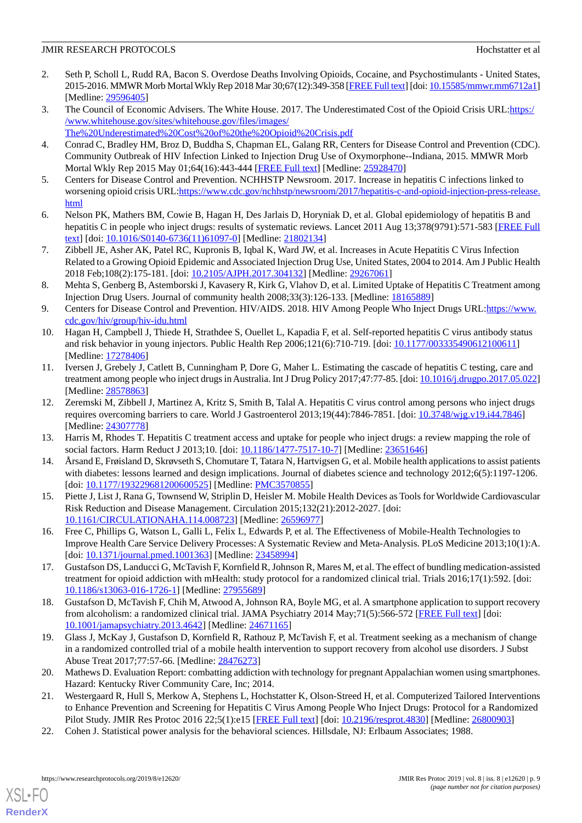- <span id="page-8-0"></span>2. Seth P, Scholl L, Rudd RA, Bacon S. Overdose Deaths Involving Opioids, Cocaine, and Psychostimulants - United States, 2015-2016. MMWR Morb Mortal Wkly Rep 2018 Mar 30;67(12):349-358 [\[FREE Full text](https://dx.doi.org/10.15585/mmwr.mm6712a1)] [doi: [10.15585/mmwr.mm6712a1\]](http://dx.doi.org/10.15585/mmwr.mm6712a1) [Medline: [29596405](http://www.ncbi.nlm.nih.gov/entrez/query.fcgi?cmd=Retrieve&db=PubMed&list_uids=29596405&dopt=Abstract)]
- <span id="page-8-1"></span>3. The Council of Economic Advisers. The White House. 2017. The Underestimated Cost of the Opioid Crisis URL:[https:/](https://www.whitehouse.gov/sites/whitehouse.gov/files/images/The%20Underestimated%20Cost%20of%20the%20Opioid%20Crisis.pdf) [/www.whitehouse.gov/sites/whitehouse.gov/files/images/](https://www.whitehouse.gov/sites/whitehouse.gov/files/images/The%20Underestimated%20Cost%20of%20the%20Opioid%20Crisis.pdf)
- <span id="page-8-2"></span>[The%20Underestimated%20Cost%20of%20the%20Opioid%20Crisis.pdf](https://www.whitehouse.gov/sites/whitehouse.gov/files/images/The%20Underestimated%20Cost%20of%20the%20Opioid%20Crisis.pdf)
- <span id="page-8-3"></span>4. Conrad C, Bradley HM, Broz D, Buddha S, Chapman EL, Galang RR, Centers for Disease Control and Prevention (CDC). Community Outbreak of HIV Infection Linked to Injection Drug Use of Oxymorphone--Indiana, 2015. MMWR Morb Mortal Wkly Rep 2015 May 01;64(16):443-444 [[FREE Full text](https://www.cdc.gov/mmwr/preview/mmwrhtml/mm6416a4.htm)] [Medline: [25928470](http://www.ncbi.nlm.nih.gov/entrez/query.fcgi?cmd=Retrieve&db=PubMed&list_uids=25928470&dopt=Abstract)]
- <span id="page-8-4"></span>5. Centers for Disease Control and Prevention. NCHHSTP Newsroom. 2017. Increase in hepatitis C infections linked to worsening opioid crisis URL[:https://www.cdc.gov/nchhstp/newsroom/2017/hepatitis-c-and-opioid-injection-press-release.](https://www.cdc.gov/nchhstp/newsroom/2017/hepatitis-c-and-opioid-injection-press-release.html) [html](https://www.cdc.gov/nchhstp/newsroom/2017/hepatitis-c-and-opioid-injection-press-release.html)
- <span id="page-8-5"></span>6. Nelson PK, Mathers BM, Cowie B, Hagan H, Des Jarlais D, Horyniak D, et al. Global epidemiology of hepatitis B and hepatitis C in people who inject drugs: results of systematic reviews. Lancet 2011 Aug 13;378(9791):571-583 [[FREE Full](http://europepmc.org/abstract/MED/21802134) [text](http://europepmc.org/abstract/MED/21802134)] [doi: [10.1016/S0140-6736\(11\)61097-0\]](http://dx.doi.org/10.1016/S0140-6736(11)61097-0) [Medline: [21802134](http://www.ncbi.nlm.nih.gov/entrez/query.fcgi?cmd=Retrieve&db=PubMed&list_uids=21802134&dopt=Abstract)]
- <span id="page-8-6"></span>7. Zibbell JE, Asher AK, Patel RC, Kupronis B, Iqbal K, Ward JW, et al. Increases in Acute Hepatitis C Virus Infection Related to a Growing Opioid Epidemic and Associated Injection Drug Use, United States, 2004 to 2014. Am J Public Health 2018 Feb;108(2):175-181. [doi: [10.2105/AJPH.2017.304132](http://dx.doi.org/10.2105/AJPH.2017.304132)] [Medline: [29267061\]](http://www.ncbi.nlm.nih.gov/entrez/query.fcgi?cmd=Retrieve&db=PubMed&list_uids=29267061&dopt=Abstract)
- <span id="page-8-7"></span>8. Mehta S, Genberg B, Astemborski J, Kavasery R, Kirk G, Vlahov D, et al. Limited Uptake of Hepatitis C Treatment among Injection Drug Users. Journal of community health 2008;33(3):126-133. [Medline: [18165889\]](http://www.ncbi.nlm.nih.gov/entrez/query.fcgi?cmd=Retrieve&db=PubMed&list_uids=18165889&dopt=Abstract)
- <span id="page-8-8"></span>9. Centers for Disease Control and Prevention. HIV/AIDS. 2018. HIV Among People Who Inject Drugs URL:[https://www.](https://www.cdc.gov/hiv/group/hiv-idu.html) [cdc.gov/hiv/group/hiv-idu.html](https://www.cdc.gov/hiv/group/hiv-idu.html)
- <span id="page-8-9"></span>10. Hagan H, Campbell J, Thiede H, Strathdee S, Ouellet L, Kapadia F, et al. Self-reported hepatitis C virus antibody status and risk behavior in young injectors. Public Health Rep 2006;121(6):710-719. [doi: [10.1177/003335490612100611](http://dx.doi.org/10.1177/003335490612100611)] [Medline: [17278406](http://www.ncbi.nlm.nih.gov/entrez/query.fcgi?cmd=Retrieve&db=PubMed&list_uids=17278406&dopt=Abstract)]
- <span id="page-8-10"></span>11. Iversen J, Grebely J, Catlett B, Cunningham P, Dore G, Maher L. Estimating the cascade of hepatitis C testing, care and treatment among people who inject drugs in Australia. Int J Drug Policy 2017;47:77-85. [doi: [10.1016/j.drugpo.2017.05.022](http://dx.doi.org/10.1016/j.drugpo.2017.05.022)] [Medline: [28578863](http://www.ncbi.nlm.nih.gov/entrez/query.fcgi?cmd=Retrieve&db=PubMed&list_uids=28578863&dopt=Abstract)]
- <span id="page-8-12"></span><span id="page-8-11"></span>12. Zeremski M, Zibbell J, Martinez A, Kritz S, Smith B, Talal A. Hepatitis C virus control among persons who inject drugs requires overcoming barriers to care. World J Gastroenterol 2013;19(44):7846-7851. [doi: [10.3748/wjg.v19.i44.7846\]](http://dx.doi.org/10.3748/wjg.v19.i44.7846) [Medline: [24307778](http://www.ncbi.nlm.nih.gov/entrez/query.fcgi?cmd=Retrieve&db=PubMed&list_uids=24307778&dopt=Abstract)]
- 13. Harris M, Rhodes T. Hepatitis C treatment access and uptake for people who inject drugs: a review mapping the role of social factors. Harm Reduct J 2013;10. [doi: [10.1186/1477-7517-10-7](http://dx.doi.org/10.1186/1477-7517-10-7)] [Medline: [23651646](http://www.ncbi.nlm.nih.gov/entrez/query.fcgi?cmd=Retrieve&db=PubMed&list_uids=23651646&dopt=Abstract)]
- 14. Årsand E, Frøisland D, Skrøvseth S, Chomutare T, Tatara N, Hartvigsen G, et al. Mobile health applications to assist patients with diabetes: lessons learned and design implications. Journal of diabetes science and technology 2012;6(5):1197-1206. [doi: [10.1177/193229681200600525](http://dx.doi.org/10.1177/193229681200600525)] [Medline: [PMC3570855](http://www.ncbi.nlm.nih.gov/entrez/query.fcgi?cmd=Retrieve&db=PubMed&list_uids=PMC3570855&dopt=Abstract)]
- <span id="page-8-14"></span><span id="page-8-13"></span>15. Piette J, List J, Rana G, Townsend W, Striplin D, Heisler M. Mobile Health Devices as Tools for Worldwide Cardiovascular Risk Reduction and Disease Management. Circulation 2015;132(21):2012-2027. [doi: [10.1161/CIRCULATIONAHA.114.008723\]](http://dx.doi.org/10.1161/CIRCULATIONAHA.114.008723) [Medline: [26596977\]](http://www.ncbi.nlm.nih.gov/entrez/query.fcgi?cmd=Retrieve&db=PubMed&list_uids=26596977&dopt=Abstract)
- <span id="page-8-15"></span>16. Free C, Phillips G, Watson L, Galli L, Felix L, Edwards P, et al. The Effectiveness of Mobile-Health Technologies to Improve Health Care Service Delivery Processes: A Systematic Review and Meta-Analysis. PLoS Medicine 2013;10(1):A. [doi: [10.1371/journal.pmed.1001363\]](http://dx.doi.org/10.1371/journal.pmed.1001363) [Medline: [23458994\]](http://www.ncbi.nlm.nih.gov/entrez/query.fcgi?cmd=Retrieve&db=PubMed&list_uids=23458994&dopt=Abstract)
- <span id="page-8-16"></span>17. Gustafson DS, Landucci G, McTavish F, Kornfield R, Johnson R, Mares M, et al. The effect of bundling medication-assisted treatment for opioid addiction with mHealth: study protocol for a randomized clinical trial. Trials 2016;17(1):592. [doi: [10.1186/s13063-016-1726-1\]](http://dx.doi.org/10.1186/s13063-016-1726-1) [Medline: [27955689](http://www.ncbi.nlm.nih.gov/entrez/query.fcgi?cmd=Retrieve&db=PubMed&list_uids=27955689&dopt=Abstract)]
- <span id="page-8-17"></span>18. Gustafson D, McTavish F, Chih M, Atwood A, Johnson RA, Boyle MG, et al. A smartphone application to support recovery from alcoholism: a randomized clinical trial. JAMA Psychiatry 2014 May;71(5):566-572 [\[FREE Full text\]](http://europepmc.org/abstract/MED/24671165) [doi: [10.1001/jamapsychiatry.2013.4642](http://dx.doi.org/10.1001/jamapsychiatry.2013.4642)] [Medline: [24671165](http://www.ncbi.nlm.nih.gov/entrez/query.fcgi?cmd=Retrieve&db=PubMed&list_uids=24671165&dopt=Abstract)]
- <span id="page-8-18"></span>19. Glass J, McKay J, Gustafson D, Kornfield R, Rathouz P, McTavish F, et al. Treatment seeking as a mechanism of change in a randomized controlled trial of a mobile health intervention to support recovery from alcohol use disorders. J Subst Abuse Treat 2017;77:57-66. [Medline: [28476273](http://www.ncbi.nlm.nih.gov/entrez/query.fcgi?cmd=Retrieve&db=PubMed&list_uids=28476273&dopt=Abstract)]
- <span id="page-8-19"></span>20. Mathews D. Evaluation Report: combatting addiction with technology for pregnant Appalachian women using smartphones. Hazard: Kentucky River Community Care, Inc; 2014.
- 21. Westergaard R, Hull S, Merkow A, Stephens L, Hochstatter K, Olson-Streed H, et al. Computerized Tailored Interventions to Enhance Prevention and Screening for Hepatitis C Virus Among People Who Inject Drugs: Protocol for a Randomized Pilot Study. JMIR Res Protoc 2016 22;5(1):e15 [[FREE Full text](http://www.researchprotocols.org/2016/1/e15/)] [doi: [10.2196/resprot.4830](http://dx.doi.org/10.2196/resprot.4830)] [Medline: [26800903\]](http://www.ncbi.nlm.nih.gov/entrez/query.fcgi?cmd=Retrieve&db=PubMed&list_uids=26800903&dopt=Abstract)
- 22. Cohen J. Statistical power analysis for the behavioral sciences. Hillsdale, NJ: Erlbaum Associates; 1988.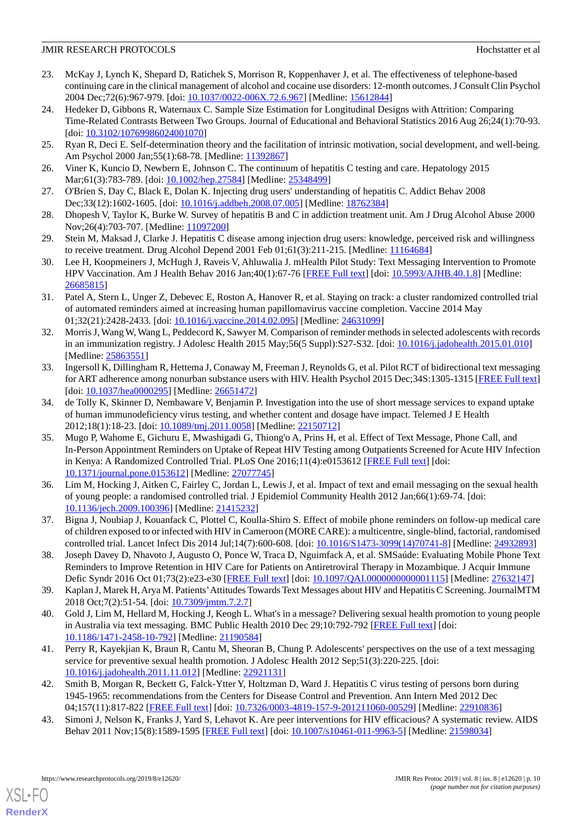- 23. McKay J, Lynch K, Shepard D, Ratichek S, Morrison R, Koppenhaver J, et al. The effectiveness of telephone-based continuing care in the clinical management of alcohol and cocaine use disorders: 12-month outcomes. J Consult Clin Psychol 2004 Dec;72(6):967-979. [doi: [10.1037/0022-006X.72.6.967](http://dx.doi.org/10.1037/0022-006X.72.6.967)] [Medline: [15612844](http://www.ncbi.nlm.nih.gov/entrez/query.fcgi?cmd=Retrieve&db=PubMed&list_uids=15612844&dopt=Abstract)]
- <span id="page-9-0"></span>24. Hedeker D, Gibbons R, Waternaux C. Sample Size Estimation for Longitudinal Designs with Attrition: Comparing Time-Related Contrasts Between Two Groups. Journal of Educational and Behavioral Statistics 2016 Aug 26;24(1):70-93. [doi: [10.3102/10769986024001070](http://dx.doi.org/10.3102/10769986024001070)]
- <span id="page-9-2"></span><span id="page-9-1"></span>25. Ryan R, Deci E. Self-determination theory and the facilitation of intrinsic motivation, social development, and well-being. Am Psychol 2000 Jan; 55(1): 68-78. [Medline: [11392867\]](http://www.ncbi.nlm.nih.gov/entrez/query.fcgi?cmd=Retrieve&db=PubMed&list_uids=11392867&dopt=Abstract)
- <span id="page-9-3"></span>26. Viner K, Kuncio D, Newbern E, Johnson C. The continuum of hepatitis C testing and care. Hepatology 2015 Mar;61(3):783-789. [doi: [10.1002/hep.27584](http://dx.doi.org/10.1002/hep.27584)] [Medline: [25348499](http://www.ncbi.nlm.nih.gov/entrez/query.fcgi?cmd=Retrieve&db=PubMed&list_uids=25348499&dopt=Abstract)]
- 27. O'Brien S, Day C, Black E, Dolan K. Injecting drug users' understanding of hepatitis C. Addict Behav 2008 Dec;33(12):1602-1605. [doi: [10.1016/j.addbeh.2008.07.005](http://dx.doi.org/10.1016/j.addbeh.2008.07.005)] [Medline: [18762384](http://www.ncbi.nlm.nih.gov/entrez/query.fcgi?cmd=Retrieve&db=PubMed&list_uids=18762384&dopt=Abstract)]
- <span id="page-9-4"></span>28. Dhopesh V, Taylor K, Burke W. Survey of hepatitis B and C in addiction treatment unit. Am J Drug Alcohol Abuse 2000 Nov;26(4):703-707. [Medline: [11097200](http://www.ncbi.nlm.nih.gov/entrez/query.fcgi?cmd=Retrieve&db=PubMed&list_uids=11097200&dopt=Abstract)]
- <span id="page-9-5"></span>29. Stein M, Maksad J, Clarke J. Hepatitis C disease among injection drug users: knowledge, perceived risk and willingness to receive treatment. Drug Alcohol Depend 2001 Feb 01;61(3):211-215. [Medline: [11164684\]](http://www.ncbi.nlm.nih.gov/entrez/query.fcgi?cmd=Retrieve&db=PubMed&list_uids=11164684&dopt=Abstract)
- 30. Lee H, Koopmeiners J, McHugh J, Raveis V, Ahluwalia J. mHealth Pilot Study: Text Messaging Intervention to Promote HPV Vaccination. Am J Health Behav 2016 Jan;40(1):67-76 [\[FREE Full text\]](http://europepmc.org/abstract/MED/26685815) [doi: [10.5993/AJHB.40.1.8\]](http://dx.doi.org/10.5993/AJHB.40.1.8) [Medline: [26685815](http://www.ncbi.nlm.nih.gov/entrez/query.fcgi?cmd=Retrieve&db=PubMed&list_uids=26685815&dopt=Abstract)]
- <span id="page-9-6"></span>31. Patel A, Stern L, Unger Z, Debevec E, Roston A, Hanover R, et al. Staying on track: a cluster randomized controlled trial of automated reminders aimed at increasing human papillomavirus vaccine completion. Vaccine 2014 May 01;32(21):2428-2433. [doi: [10.1016/j.vaccine.2014.02.095\]](http://dx.doi.org/10.1016/j.vaccine.2014.02.095) [Medline: [24631099\]](http://www.ncbi.nlm.nih.gov/entrez/query.fcgi?cmd=Retrieve&db=PubMed&list_uids=24631099&dopt=Abstract)
- <span id="page-9-7"></span>32. Morris J, Wang W, Wang L, Peddecord K, Sawyer M. Comparison of reminder methods in selected adolescents with records in an immunization registry. J Adolesc Health 2015 May;56(5 Suppl):S27-S32. [doi: [10.1016/j.jadohealth.2015.01.010](http://dx.doi.org/10.1016/j.jadohealth.2015.01.010)] [Medline: [25863551](http://www.ncbi.nlm.nih.gov/entrez/query.fcgi?cmd=Retrieve&db=PubMed&list_uids=25863551&dopt=Abstract)]
- 33. Ingersoll K, Dillingham R, Hettema J, Conaway M, Freeman J, Reynolds G, et al. Pilot RCT of bidirectional text messaging for ART adherence among nonurban substance users with HIV. Health Psychol 2015 Dec;34S:1305-1315 [[FREE Full text](http://europepmc.org/abstract/MED/26651472)] [doi: [10.1037/hea0000295](http://dx.doi.org/10.1037/hea0000295)] [Medline: [26651472\]](http://www.ncbi.nlm.nih.gov/entrez/query.fcgi?cmd=Retrieve&db=PubMed&list_uids=26651472&dopt=Abstract)
- <span id="page-9-8"></span>34. de Tolly K, Skinner D, Nembaware V, Benjamin P. Investigation into the use of short message services to expand uptake of human immunodeficiency virus testing, and whether content and dosage have impact. Telemed J E Health 2012;18(1):18-23. [doi: [10.1089/tmj.2011.0058](http://dx.doi.org/10.1089/tmj.2011.0058)] [Medline: [22150712\]](http://www.ncbi.nlm.nih.gov/entrez/query.fcgi?cmd=Retrieve&db=PubMed&list_uids=22150712&dopt=Abstract)
- <span id="page-9-9"></span>35. Mugo P, Wahome E, Gichuru E, Mwashigadi G, Thiong'o A, Prins H, et al. Effect of Text Message, Phone Call, and In-Person Appointment Reminders on Uptake of Repeat HIV Testing among Outpatients Screened for Acute HIV Infection in Kenya: A Randomized Controlled Trial. PLoS One 2016;11(4):e0153612 [[FREE Full text\]](http://dx.plos.org/10.1371/journal.pone.0153612) [doi: [10.1371/journal.pone.0153612\]](http://dx.doi.org/10.1371/journal.pone.0153612) [Medline: [27077745](http://www.ncbi.nlm.nih.gov/entrez/query.fcgi?cmd=Retrieve&db=PubMed&list_uids=27077745&dopt=Abstract)]
- <span id="page-9-11"></span><span id="page-9-10"></span>36. Lim M, Hocking J, Aitken C, Fairley C, Jordan L, Lewis J, et al. Impact of text and email messaging on the sexual health of young people: a randomised controlled trial. J Epidemiol Community Health 2012 Jan;66(1):69-74. [doi: [10.1136/jech.2009.100396\]](http://dx.doi.org/10.1136/jech.2009.100396) [Medline: [21415232](http://www.ncbi.nlm.nih.gov/entrez/query.fcgi?cmd=Retrieve&db=PubMed&list_uids=21415232&dopt=Abstract)]
- <span id="page-9-12"></span>37. Bigna J, Noubiap J, Kouanfack C, Plottel C, Koulla-Shiro S. Effect of mobile phone reminders on follow-up medical care of children exposed to or infected with HIV in Cameroon (MORE CARE): a multicentre, single-blind, factorial, randomised controlled trial. Lancet Infect Dis 2014 Jul;14(7):600-608. [doi: [10.1016/S1473-3099\(14\)70741-8\]](http://dx.doi.org/10.1016/S1473-3099(14)70741-8) [Medline: [24932893\]](http://www.ncbi.nlm.nih.gov/entrez/query.fcgi?cmd=Retrieve&db=PubMed&list_uids=24932893&dopt=Abstract)
- 38. Joseph Davey D, Nhavoto J, Augusto O, Ponce W, Traca D, Nguimfack A, et al. SMSaúde: Evaluating Mobile Phone Text Reminders to Improve Retention in HIV Care for Patients on Antiretroviral Therapy in Mozambique. J Acquir Immune Defic Syndr 2016 Oct 01;73(2):e23-e30 [\[FREE Full text](http://europepmc.org/abstract/MED/27632147)] [doi: [10.1097/QAI.0000000000001115](http://dx.doi.org/10.1097/QAI.0000000000001115)] [Medline: [27632147](http://www.ncbi.nlm.nih.gov/entrez/query.fcgi?cmd=Retrieve&db=PubMed&list_uids=27632147&dopt=Abstract)]
- <span id="page-9-13"></span>39. Kaplan J, Marek H, Arya M. Patients'Attitudes Towards Text Messages about HIV and Hepatitis C Screening. JournalMTM 2018 Oct;7(2):51-54. [doi: [10.7309/jmtm.7.2.7](http://dx.doi.org/10.7309/jmtm.7.2.7)]
- <span id="page-9-14"></span>40. Gold J, Lim M, Hellard M, Hocking J, Keogh L. What's in a message? Delivering sexual health promotion to young people in Australia via text messaging. BMC Public Health 2010 Dec 29;10:792-792 [\[FREE Full text\]](https://bmcpublichealth.biomedcentral.com/articles/10.1186/1471-2458-10-792) [doi: [10.1186/1471-2458-10-792\]](http://dx.doi.org/10.1186/1471-2458-10-792) [Medline: [21190584\]](http://www.ncbi.nlm.nih.gov/entrez/query.fcgi?cmd=Retrieve&db=PubMed&list_uids=21190584&dopt=Abstract)
- <span id="page-9-15"></span>41. Perry R, Kayekjian K, Braun R, Cantu M, Sheoran B, Chung P. Adolescents' perspectives on the use of a text messaging service for preventive sexual health promotion. J Adolesc Health 2012 Sep;51(3):220-225. [doi: [10.1016/j.jadohealth.2011.11.012](http://dx.doi.org/10.1016/j.jadohealth.2011.11.012)] [Medline: [22921131](http://www.ncbi.nlm.nih.gov/entrez/query.fcgi?cmd=Retrieve&db=PubMed&list_uids=22921131&dopt=Abstract)]
- 42. Smith B, Morgan R, Beckett G, Falck-Ytter Y, Holtzman D, Ward J. Hepatitis C virus testing of persons born during 1945-1965: recommendations from the Centers for Disease Control and Prevention. Ann Intern Med 2012 Dec 04;157(11):817-822 [[FREE Full text](http://europepmc.org/abstract/MED/22910836)] [doi: [10.7326/0003-4819-157-9-201211060-00529](http://dx.doi.org/10.7326/0003-4819-157-9-201211060-00529)] [Medline: [22910836](http://www.ncbi.nlm.nih.gov/entrez/query.fcgi?cmd=Retrieve&db=PubMed&list_uids=22910836&dopt=Abstract)]
- 43. Simoni J, Nelson K, Franks J, Yard S, Lehavot K. Are peer interventions for HIV efficacious? A systematic review. AIDS Behav 2011 Nov;15(8):1589-1595 [\[FREE Full text\]](http://europepmc.org/abstract/MED/21598034) [doi: [10.1007/s10461-011-9963-5](http://dx.doi.org/10.1007/s10461-011-9963-5)] [Medline: [21598034\]](http://www.ncbi.nlm.nih.gov/entrez/query.fcgi?cmd=Retrieve&db=PubMed&list_uids=21598034&dopt=Abstract)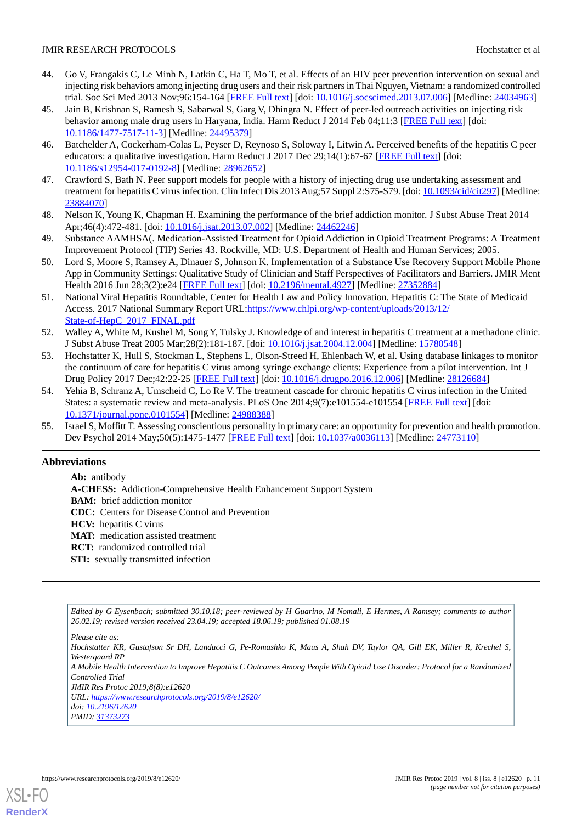- 44. Go V, Frangakis C, Le Minh N, Latkin C, Ha T, Mo T, et al. Effects of an HIV peer prevention intervention on sexual and injecting risk behaviors among injecting drug users and their risk partners in Thai Nguyen, Vietnam: a randomized controlled trial. Soc Sci Med 2013 Nov;96:154-164 [[FREE Full text\]](http://europepmc.org/abstract/MED/24034963) [doi: [10.1016/j.socscimed.2013.07.006\]](http://dx.doi.org/10.1016/j.socscimed.2013.07.006) [Medline: [24034963\]](http://www.ncbi.nlm.nih.gov/entrez/query.fcgi?cmd=Retrieve&db=PubMed&list_uids=24034963&dopt=Abstract)
- <span id="page-10-0"></span>45. Jain B, Krishnan S, Ramesh S, Sabarwal S, Garg V, Dhingra N. Effect of peer-led outreach activities on injecting risk behavior among male drug users in Haryana, India. Harm Reduct J 2014 Feb 04;11:3 [[FREE Full text](https://harmreductionjournal.biomedcentral.com/articles/10.1186/1477-7517-11-3)] [doi: [10.1186/1477-7517-11-3\]](http://dx.doi.org/10.1186/1477-7517-11-3) [Medline: [24495379\]](http://www.ncbi.nlm.nih.gov/entrez/query.fcgi?cmd=Retrieve&db=PubMed&list_uids=24495379&dopt=Abstract)
- <span id="page-10-1"></span>46. Batchelder A, Cockerham-Colas L, Peyser D, Reynoso S, Soloway I, Litwin A. Perceived benefits of the hepatitis C peer educators: a qualitative investigation. Harm Reduct J 2017 Dec 29;14(1):67-67 [\[FREE Full text\]](https://harmreductionjournal.biomedcentral.com/articles/10.1186/s12954-017-0192-8) [doi: [10.1186/s12954-017-0192-8\]](http://dx.doi.org/10.1186/s12954-017-0192-8) [Medline: [28962652](http://www.ncbi.nlm.nih.gov/entrez/query.fcgi?cmd=Retrieve&db=PubMed&list_uids=28962652&dopt=Abstract)]
- <span id="page-10-3"></span><span id="page-10-2"></span>47. Crawford S, Bath N. Peer support models for people with a history of injecting drug use undertaking assessment and treatment for hepatitis C virus infection. Clin Infect Dis 2013 Aug;57 Suppl 2:S75-S79. [doi: [10.1093/cid/cit297](http://dx.doi.org/10.1093/cid/cit297)] [Medline: [23884070](http://www.ncbi.nlm.nih.gov/entrez/query.fcgi?cmd=Retrieve&db=PubMed&list_uids=23884070&dopt=Abstract)]
- <span id="page-10-4"></span>48. Nelson K, Young K, Chapman H. Examining the performance of the brief addiction monitor. J Subst Abuse Treat 2014 Apr;46(4):472-481. [doi: [10.1016/j.jsat.2013.07.002\]](http://dx.doi.org/10.1016/j.jsat.2013.07.002) [Medline: [24462246\]](http://www.ncbi.nlm.nih.gov/entrez/query.fcgi?cmd=Retrieve&db=PubMed&list_uids=24462246&dopt=Abstract)
- <span id="page-10-5"></span>49. Substance AAMHSA(. Medication-Assisted Treatment for Opioid Addiction in Opioid Treatment Programs: A Treatment Improvement Protocol (TIP) Series 43. Rockville, MD: U.S. Department of Health and Human Services; 2005.
- <span id="page-10-6"></span>50. Lord S, Moore S, Ramsey A, Dinauer S, Johnson K. Implementation of a Substance Use Recovery Support Mobile Phone App in Community Settings: Qualitative Study of Clinician and Staff Perspectives of Facilitators and Barriers. JMIR Ment Health 2016 Jun 28;3(2):e24 [\[FREE Full text\]](http://mental.jmir.org/2016/2/e24/) [doi: [10.2196/mental.4927\]](http://dx.doi.org/10.2196/mental.4927) [Medline: [27352884\]](http://www.ncbi.nlm.nih.gov/entrez/query.fcgi?cmd=Retrieve&db=PubMed&list_uids=27352884&dopt=Abstract)
- <span id="page-10-7"></span>51. National Viral Hepatitis Roundtable, Center for Health Law and Policy Innovation. Hepatitis C: The State of Medicaid Access. 2017 National Summary Report URL[:https://www.chlpi.org/wp-content/uploads/2013/12/](https://www.chlpi.org/wp-content/uploads/2013/12/State-of-HepC_2017_FINAL.pdf) [State-of-HepC\\_2017\\_FINAL.pdf](https://www.chlpi.org/wp-content/uploads/2013/12/State-of-HepC_2017_FINAL.pdf)
- <span id="page-10-8"></span>52. Walley A, White M, Kushel M, Song Y, Tulsky J. Knowledge of and interest in hepatitis C treatment at a methadone clinic. J Subst Abuse Treat 2005 Mar;28(2):181-187. [doi: [10.1016/j.jsat.2004.12.004](http://dx.doi.org/10.1016/j.jsat.2004.12.004)] [Medline: [15780548\]](http://www.ncbi.nlm.nih.gov/entrez/query.fcgi?cmd=Retrieve&db=PubMed&list_uids=15780548&dopt=Abstract)
- <span id="page-10-9"></span>53. Hochstatter K, Hull S, Stockman L, Stephens L, Olson-Streed H, Ehlenbach W, et al. Using database linkages to monitor the continuum of care for hepatitis C virus among syringe exchange clients: Experience from a pilot intervention. Int J Drug Policy 2017 Dec;42:22-25 [[FREE Full text](http://europepmc.org/abstract/MED/28126684)] [doi: [10.1016/j.drugpo.2016.12.006\]](http://dx.doi.org/10.1016/j.drugpo.2016.12.006) [Medline: [28126684\]](http://www.ncbi.nlm.nih.gov/entrez/query.fcgi?cmd=Retrieve&db=PubMed&list_uids=28126684&dopt=Abstract)
- <span id="page-10-10"></span>54. Yehia B, Schranz A, Umscheid C, Lo Re V. The treatment cascade for chronic hepatitis C virus infection in the United States: a systematic review and meta-analysis. PLoS One 2014;9(7):e101554-e101554 [[FREE Full text](http://dx.plos.org/10.1371/journal.pone.0101554)] [doi: [10.1371/journal.pone.0101554\]](http://dx.doi.org/10.1371/journal.pone.0101554) [Medline: [24988388](http://www.ncbi.nlm.nih.gov/entrez/query.fcgi?cmd=Retrieve&db=PubMed&list_uids=24988388&dopt=Abstract)]
- 55. Israel S, Moffitt T. Assessing conscientious personality in primary care: an opportunity for prevention and health promotion. Dev Psychol 2014 May;50(5):1475-1477 [[FREE Full text](http://europepmc.org/abstract/MED/24773110)] [doi: [10.1037/a0036113](http://dx.doi.org/10.1037/a0036113)] [Medline: [24773110\]](http://www.ncbi.nlm.nih.gov/entrez/query.fcgi?cmd=Retrieve&db=PubMed&list_uids=24773110&dopt=Abstract)

# **Abbreviations**

**Ab:** antibody

**A-CHESS:** Addiction-Comprehensive Health Enhancement Support System

**BAM:** brief addiction monitor

- **CDC:** Centers for Disease Control and Prevention
- **HCV:** hepatitis C virus
- **MAT:** medication assisted treatment
- **RCT:** randomized controlled trial
- **STI:** sexually transmitted infection

*Edited by G Eysenbach; submitted 30.10.18; peer-reviewed by H Guarino, M Nomali, E Hermes, A Ramsey; comments to author 26.02.19; revised version received 23.04.19; accepted 18.06.19; published 01.08.19*

*Hochstatter KR, Gustafson Sr DH, Landucci G, Pe-Romashko K, Maus A, Shah DV, Taylor QA, Gill EK, Miller R, Krechel S, Westergaard RP*

*A Mobile Health Intervention to Improve Hepatitis C Outcomes Among People With Opioid Use Disorder: Protocol for a Randomized Controlled Trial*

*JMIR Res Protoc 2019;8(8):e12620 URL: <https://www.researchprotocols.org/2019/8/e12620/>*

*doi: [10.2196/12620](http://dx.doi.org/10.2196/12620)*

*PMID: [31373273](http://www.ncbi.nlm.nih.gov/entrez/query.fcgi?cmd=Retrieve&db=PubMed&list_uids=31373273&dopt=Abstract)*

*Please cite as:*